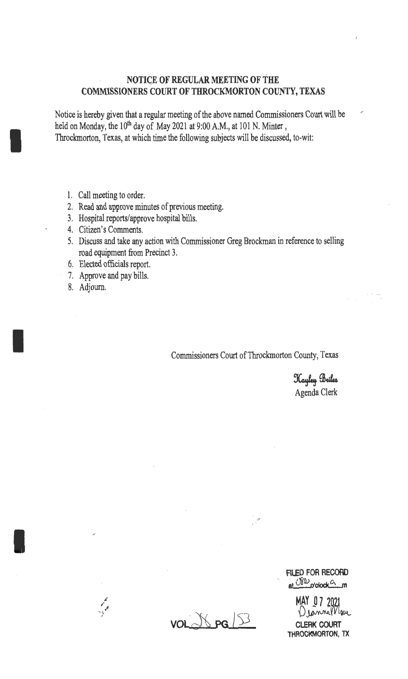## **NOTIGE OF REGULAR MEETING OF THE COMMISSIONERS COURT OF THROCKMORTON COUNfY, TEXAS**

Notice is hereby given that a regular meeting of the above named Commissioners Court will be held on Monday, the  $10^{th}$  day of May 2021 at 9:00 A.M., at 101 N. Minter, Throckmorton, Texas, at which time the following subjects will be discussed, to-wit:

- 1. Call meeting to order.
- 2. Read and approve minutes of previous meeting.
- 3. Hospital reports/approve hospital bills.
- 4. Citizen's Comments.
- 5. Discuss and take any action with Commissioner Greg Brockman in reference to selling road equipment from Precinct 3.
- 6. Elected officials report.
- 7. Approve and pay bills.
- 8. Adjourn.

I

I

I

Commissioners Court of Throckmorton County, Texas

•' ·'

Hayley Briles Agenda Clerk

/

**FILED FOR RECORD et** <sup>USO</sup>-o'clock<sup>G</sup>\_m

MAY~ **7 202t** Dennerriou **CLERK COURT**  THROCKMORTON, TX

 $VOLMSPG \ 33$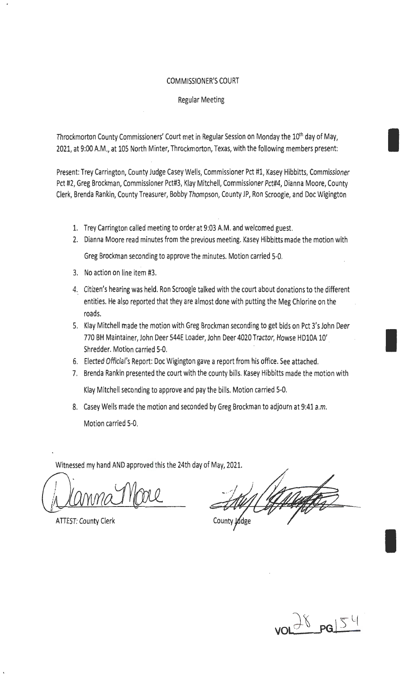## COMMISSIONER'S COURT

## Regular Meeting

Throckmorton County Commissioners' Court met in Regular Session on Monday the 10<sup>th</sup> day of May, 2021, at 9:00 A.M., at 105 North Minter, Throckmorton, Texas, with the following members present:

Present: Trey Carrington, County Judge Casey Wells, Commissioner Pct #1, Kasey Hibbitts, Commissioner Pct #2, Greg Brockman, Commissioner Pct#3, Klay Mitchell, Commissioner Pct#4, Dianna Moore, County Clerk, Brenda Rankin, County Treasurer, Bobby Thompson, County JP, Ron Scroogie, and Doc Wigington

- 1. Trey Carrington called meeting to order at 9:03 A.M. and welcomed guest.
- 2. Dianna Moore read minutes from the previous meeting. Kasey Hibbitts made the motion with Greg Brockman seconding to approve the minutes. Motion carried 5-0.
- 3. No action on line item #3.
- 4. Citizen's hearing was held. Ron Scroogie talked with the court about donations to the different entities. He also reported that they are almost done with putting the Meg Chlorine on the roads.
- 5. Klay Mitchell made the motion with Greg Brockman seconding to get bids on Pct 3's John Deer 770 BH Maintainer, John Deer 544E Loader, John Deer 4020 Tractor, Howse HDlOA 10'. Shredder. Motion carried 5-0.
- 6. Elected Official's Report: Doc Wigington gave a report from his office. See attached.
- 7. Brenda Rankin presented the court with the county bills. Kasey Hibbitts made the motion with Klay Mitchell seconding to approve and pay the bills. Motion carried 5-0.
- 8. Casey Wells made the motion and seconded by Greg Brockman to adjourn at 9:41 a.m. Motion carried 5-0.

Witnessed my hand AND approved this the 24th day of May, 2021.

(planma 1100L

**ATTEST: County Clerk** 

County Judge



I

I

I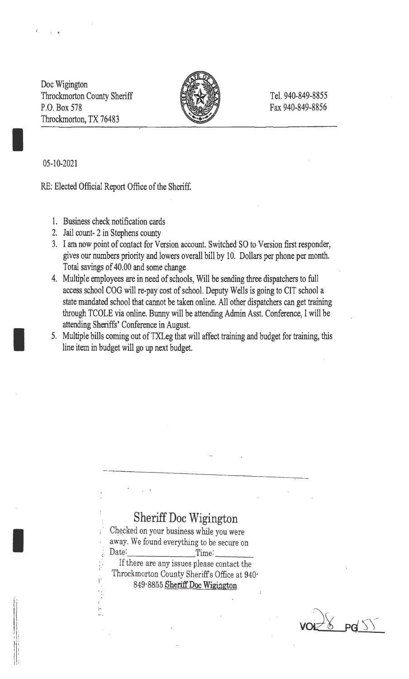Doc Wigington Throckmorton County Sheriff P.O. Box 578 Throckmorton, TX 76483



Tel. 940-849-8855 Fax 940-849-8856

05-10-2021

.,

I

I

I

ìI.

RE: Elected Official Report Office of the Sheriff.

- 1. Business check notification cards
- 2. Jail count- 2 in Stephens county

 $\mathbb{S}^1$ I 1.: ... .

- 3. I am now point of contact for Version account. Switched SO to Version first responder, gives our numbers priority and lowers overall bill by 10. Dollars per phone per month. Total savings of 40.00 and some change
- 4. Multiple employees are in need of schools, Will be sending three dispatchers to full access school COG will re-pay cost of school. Deputy Wells is going to CIT school a state mandated school that cannot be taken online. All other dispatchers can get training through TCOLE via online. Bunny will be attending Admin Asst. Conference, I will be attending Sheriffs' Conference in August.
- 5. Multiple bills coming out of TXLeg that will affect training and budget for training, this line item in budget will go up next budget.

## Sheriff Doc Wigington

Checked on your business while you were away. We found everything to be secure on<br>  $\frac{1}{2}$  Date:

If there are any issues please contact the Throckmorton County Sheriff's Office at 940<sup>-1</sup> 849-8855 **Sheriff Doc Wigington** 

 $\frac{18}{8}$  pd  $\frac{5}{8}$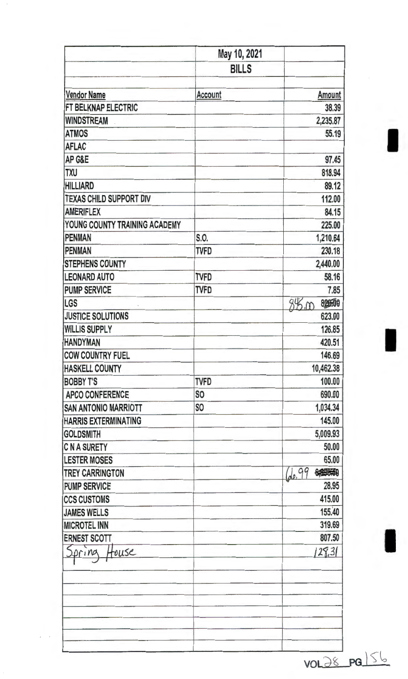|                                | May 10, 2021   |                    |
|--------------------------------|----------------|--------------------|
|                                | <b>BILLS</b>   |                    |
| <b>Vendor Name</b>             | <b>Account</b> | <b>Amount</b>      |
| FT BELKNAP ELECTRIC            |                | 38.39              |
| <b>WINDSTREAM</b>              |                | 2,235.87           |
| <b>ATMOS</b>                   |                | 55.19              |
| <b>AFLAC</b>                   |                |                    |
| AP G&E                         |                | 97.45              |
| <b>TXU</b>                     |                | 818,94             |
| <b>HILLIARD</b>                |                | 89.12              |
| <b>TEXAS CHILD SUPPORT DIV</b> |                | 112.00             |
| <b>AMERIFLEX</b>               |                | 84.15              |
| YOUNG COUNTY TRAINING ACADEMY  |                | 225.00             |
| PENMAN                         | S.O.           | 1,210.64           |
| <b>PENMAN</b>                  | <b>TVFD</b>    | 230.18             |
| <b>STEPHENS COUNTY</b>         |                | 2,440.00           |
| <b>LEONARD AUTO</b>            | <b>TVFD</b>    | 58.16              |
| <b>PUMP SERVICE</b>            | TVFD           | 7.85               |
| LGS                            |                | 845.00<br>82000    |
| <b>JUSTICE SOLUTIONS</b>       |                | 623.00             |
| <b>WILLIS SUPPLY</b>           |                | 126.85             |
| <b>HANDYMAN</b>                |                | 420.51             |
| <b>COW COUNTRY FUEL</b>        |                | 146.69             |
| <b>HASKELL COUNTY</b>          |                | 10,462.38          |
| <b>BOBBY T'S</b>               | <b>TVFD</b>    | 100.00             |
| <b>APCO CONFERENCE</b>         | S <sub>O</sub> | 690.00             |
| <b>SAN ANTONIO MARRIOTT</b>    | S <sub>O</sub> | 1,034.34           |
| <b>HARRIS EXTERMINATING</b>    |                | 145.00             |
| <b>GOLDSMITH</b>               |                | 5,009.93           |
| <b>C N A SURETY</b>            |                | 50.00              |
| <b>LESTER MOSES</b>            |                | 65.00              |
| <b>TREY CARRINGTON</b>         |                | de. 99<br>6,396,40 |
| <b>PUMP SERVICE</b>            |                | 28.95              |
| <b>CCS CUSTOMS</b>             |                | 415.00             |
| <b>JAMES WELLS</b>             |                | 155,40             |
| <b>MICROTEL INN</b>            |                | 319.69             |
| <b>ERNEST SCOTT</b>            |                | 807.50             |
| House<br>pring                 |                | 128.3(             |
|                                |                |                    |
|                                |                |                    |
|                                |                |                    |
|                                |                |                    |
|                                |                |                    |
|                                |                | VOL28 PGL56        |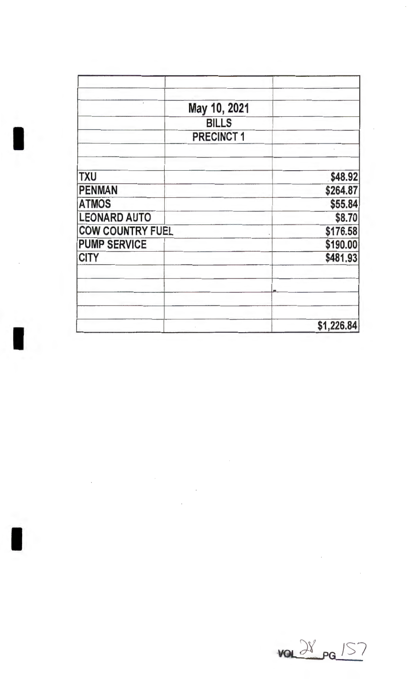|                         | May 10, 2021     |            |
|-------------------------|------------------|------------|
|                         | <b>BILLS</b>     |            |
|                         | <b>PRECINCT1</b> |            |
|                         |                  |            |
| <b>TXU</b>              |                  | \$48.92    |
| <b>PENMAN</b>           |                  | \$264.87   |
| <b>ATMOS</b>            |                  | \$55.84    |
| <b>LEONARD AUTO</b>     |                  | \$8.70     |
| <b>COW COUNTRY FUEL</b> |                  | \$176.58   |
| <b>PUMP SERVICE</b>     |                  | \$190.00   |
| <b>CITY</b>             |                  | \$481.93   |
|                         |                  |            |
|                         |                  |            |
|                         |                  | \$1,226.84 |

 $\sim$  10  $\mu$ 

 $\hat{\mathcal{A}}$ 

I

 $\bar{\mathcal{A}}$ 



 $\bar{\mathcal{A}}$ 

 $\bar{\mathcal{A}}$ 

 $\bar{\mathcal{A}}$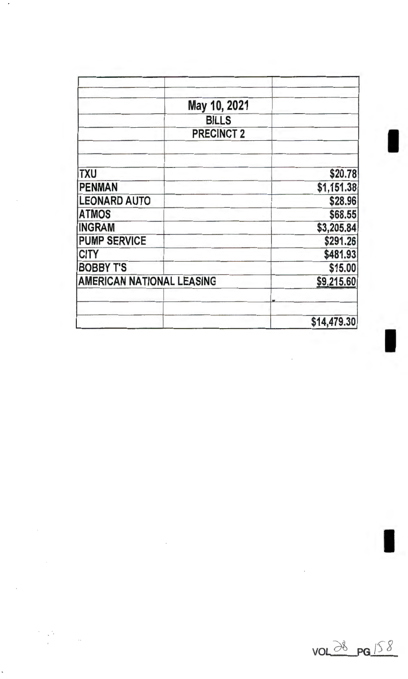| May 10, 2021                     |             |
|----------------------------------|-------------|
|                                  |             |
| <b>BILLS</b>                     |             |
| <b>PRECINCT 2</b>                |             |
| <b>TXU</b>                       | \$20.78     |
| <b>PENMAN</b>                    | \$1,151.38  |
| <b>LEONARD AUTO</b>              | \$28.96     |
| <b>ATMOS</b>                     | \$68.55     |
| <b>INGRAM</b>                    | \$3,205.84  |
| <b>PUMP SERVICE</b>              | \$291.26    |
| <b>CITY</b>                      | \$481.93    |
| <b>BOBBY T'S</b>                 | \$15.00     |
| <b>AMERICAN NATIONAL LEASING</b> | \$9,215.60  |
|                                  | \$14,479.30 |

 $\overline{\phantom{a}}$ 



 $\sim$  $\sim$ 

 $\ddot{\phantom{a}}$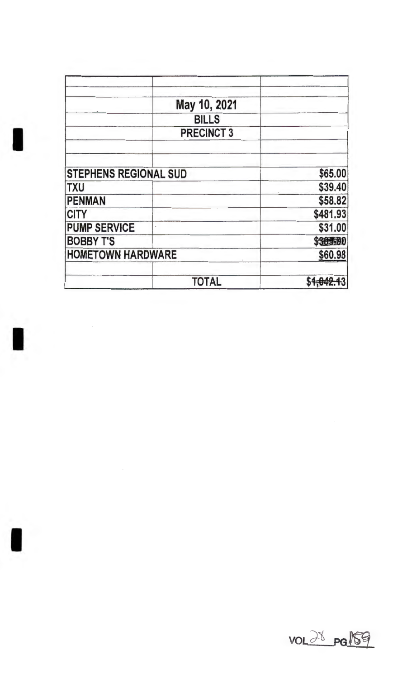| May 10, 2021                 |          |
|------------------------------|----------|
| <b>BILLS</b>                 |          |
| <b>PRECINCT 3</b>            |          |
| <b>STEPHENS REGIONAL SUD</b> | \$65.00  |
| <b>TXU</b>                   | \$39.40  |
| <b>PENMAN</b>                | \$58.82  |
| <b>CITY</b>                  | \$481.93 |
| <b>PUMP SERVICE</b>          | \$31.00  |
| <b>BOBBY T'S</b>             | \$385500 |
| <b>HOMETOWN HARDWARE</b>     | \$60.98  |
| <b>TOTAL</b>                 |          |

I

 $\overline{\phantom{a}}$ 

I